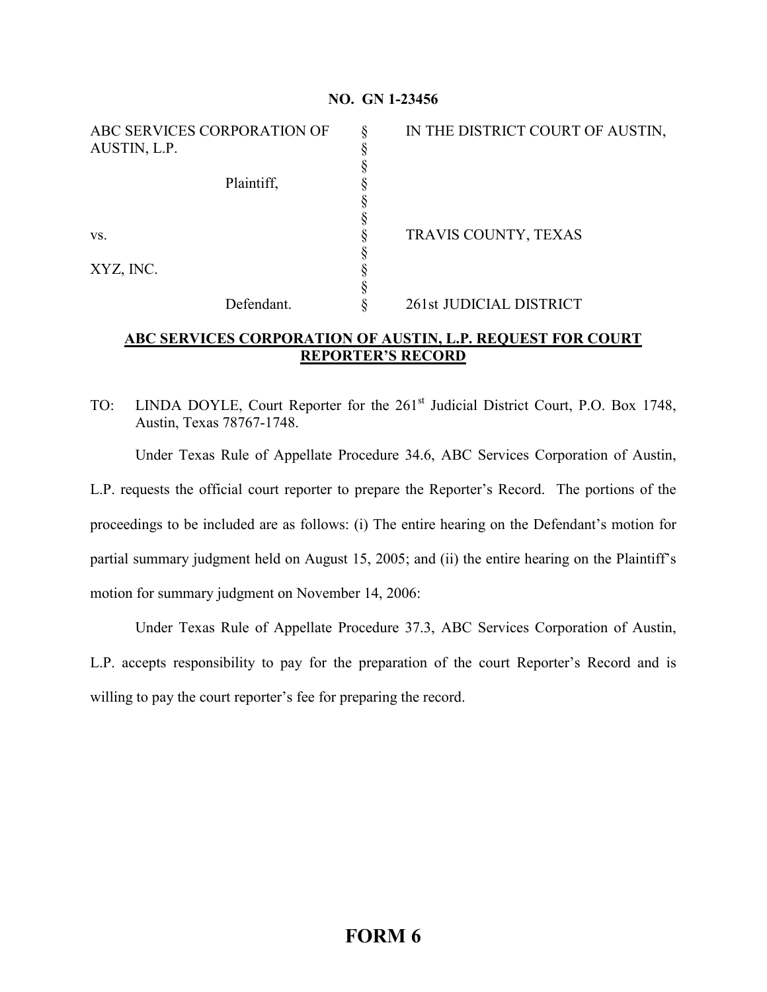## **NO. GN 1-23456**

| ABC SERVICES CORPORATION OF<br>AUSTIN, L.P. | IN THE DISTRICT COURT OF AUSTIN, |
|---------------------------------------------|----------------------------------|
| Plaintiff,                                  |                                  |
|                                             |                                  |
|                                             |                                  |
| VS.                                         | TRAVIS COUNTY, TEXAS             |
| XYZ, INC.                                   |                                  |
|                                             |                                  |
| Defendant.                                  | 261st JUDICIAL DISTRICT          |

## **ABC SERVICES CORPORATION OF AUSTIN, L.P. REQUEST FOR COURT REPORTER'S RECORD**

TO: LINDA DOYLE, Court Reporter for the 261<sup>st</sup> Judicial District Court, P.O. Box 1748, Austin, Texas 78767-1748.

Under Texas Rule of Appellate Procedure 34.6, ABC Services Corporation of Austin,

L.P. requests the official court reporter to prepare the Reporter's Record. The portions of the proceedings to be included are as follows: (i) The entire hearing on the Defendant's motion for partial summary judgment held on August 15, 2005; and (ii) the entire hearing on the Plaintiff's motion for summary judgment on November 14, 2006:

Under Texas Rule of Appellate Procedure 37.3, ABC Services Corporation of Austin, L.P. accepts responsibility to pay for the preparation of the court Reporter's Record and is willing to pay the court reporter's fee for preparing the record.